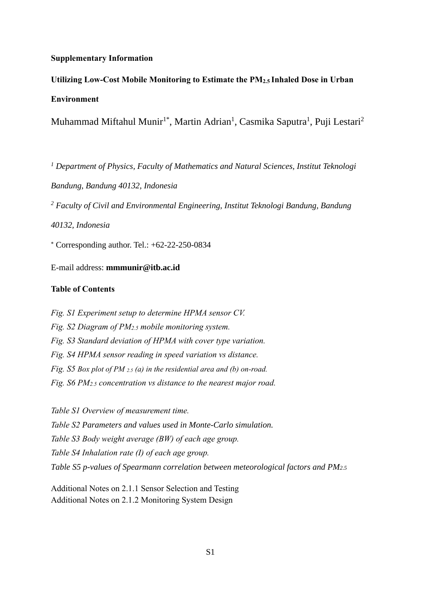### **Supplementary Information**

# **Utilizing Low-Cost Mobile Monitoring to Estimate the PM2.5 Inhaled Dose in Urban Environment**

Muhammad Miftahul Munir<sup>1\*</sup>, Martin Adrian<sup>1</sup>, Casmika Saputra<sup>1</sup>, Puji Lestari<sup>2</sup>

*<sup>1</sup> Department of Physics, Faculty of Mathematics and Natural Sciences, Institut Teknologi Bandung, Bandung 40132, Indonesia <sup>2</sup> Faculty of Civil and Environmental Engineering, Institut Teknologi Bandung, Bandung 40132, Indonesia*

 $*$  Corresponding author. Tel.:  $+62-22-250-0834$ 

E-mail address: **mmmunir@itb.ac.id**

#### **Table of Contents**

*Fig. S1 Experiment setup to determine HPMA sensor CV. Fig. S2 Diagram of PM2.5 mobile monitoring system. Fig. S3 Standard deviation of HPMA with cover type variation. Fig. S4 HPMA sensor reading in speed variation vs distance. Fig. S5 Box plot of PM 2.5 (a) in the residential area and (b) on-road. Fig. S6 PM2.5 concentration vs distance to the nearest major road.*

*Table S1 Overview of measurement time. Table S2 Parameters and values used in Monte-Carlo simulation. Table S3 Body weight average (BW) of each age group. Table S4 Inhalation rate (I) of each age group. Table S5 p-values of Spearmann correlation between meteorological factors and PM2.5*

Additional Notes on 2.1.1 Sensor Selection and Testing Additional Notes on 2.1.2 Monitoring System Design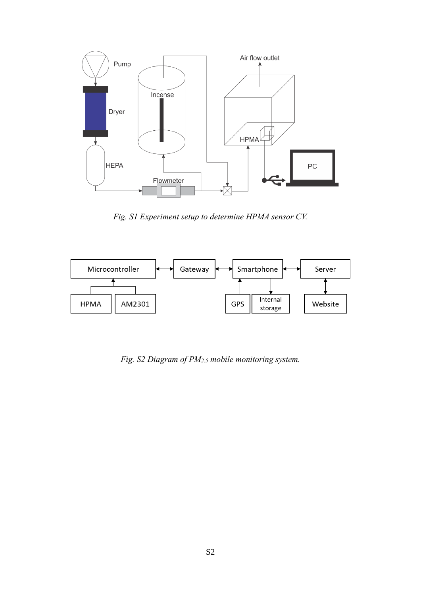

*Fig. S1 Experiment setup to determine HPMA sensor CV.*



*Fig. S2 Diagram of PM2.5 mobile monitoring system.*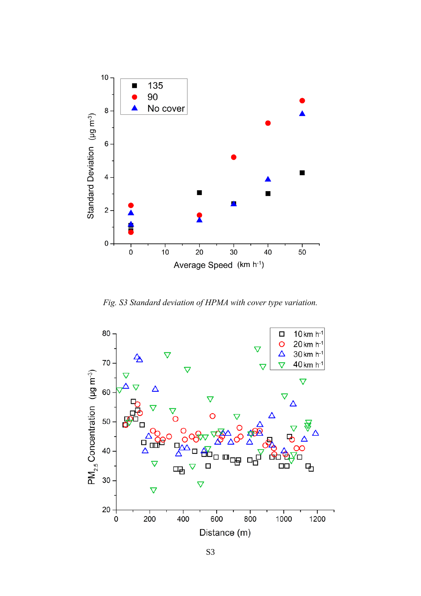

*Fig. S3 Standard deviation of HPMA with cover type variation.*

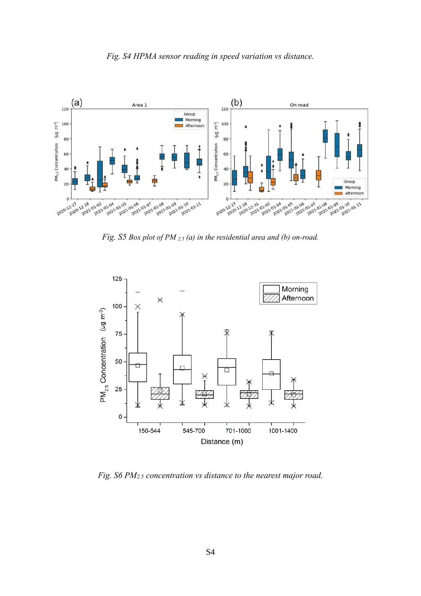



*Fig. S5 Box plot of PM 2.5 (a) in the residential area and (b) on-road.*



*Fig. S6 PM2.5 concentration vs distance to the nearest major road.*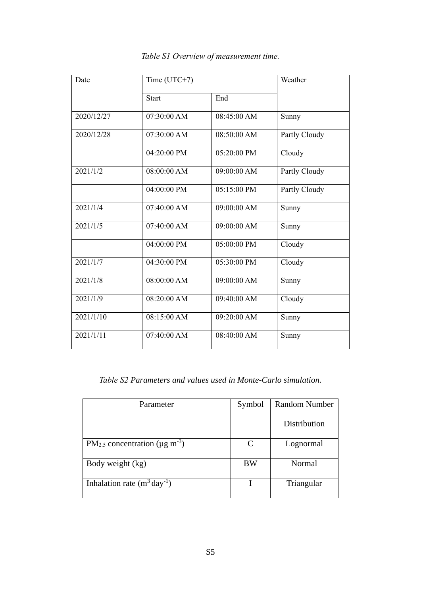| Date       | Time $(UTC+7)$ |               |               |  |
|------------|----------------|---------------|---------------|--|
|            | <b>Start</b>   | End           |               |  |
| 2020/12/27 | 07:30:00 AM    | 08:45:00 AM   | Sunny         |  |
| 2020/12/28 | 07:30:00 AM    | 08:50:00 AM   | Partly Cloudy |  |
|            | 04:20:00 PM    | 05:20:00 PM   | Cloudy        |  |
| 2021/1/2   | 08:00:00 AM    | 09:00:00 AM   | Partly Cloudy |  |
|            | 04:00:00 PM    | 05:15:00 PM   | Partly Cloudy |  |
| 2021/1/4   | 07:40:00 AM    | 09:00:00 AM   | Sunny         |  |
| 2021/1/5   | 07:40:00 AM    | 09:00:00 AM   | Sunny         |  |
|            | $04:00:00$ PM  | $05:00:00$ PM | Cloudy        |  |
| 2021/1/7   | 04:30:00 PM    | 05:30:00 PM   | Cloudy        |  |
| 2021/1/8   | 08:00:00 AM    | 09:00:00 AM   | Sunny         |  |
| 2021/1/9   | 08:20:00 AM    | 09:40:00 AM   | Cloudy        |  |
| 2021/1/10  | 08:15:00 AM    | 09:20:00 AM   | Sunny         |  |
| 2021/1/11  | 07:40:00 AM    | 08:40:00 AM   | Sunny         |  |

### *Table S1 Overview of measurement time.*

*Table S2 Parameters and values used in Monte-Carlo simulation.*

| Parameter                                                   | Symbol                      | <b>Random Number</b> |
|-------------------------------------------------------------|-----------------------------|----------------------|
|                                                             |                             | Distribution         |
| PM <sub>2.5</sub> concentration ( $\mu$ g m <sup>-3</sup> ) | $\mathcal{C}_{\mathcal{C}}$ | Lognormal            |
| Body weight (kg)                                            | BW                          | Normal               |
| Inhalation rate $(m^3 \, \text{day}^{-1})$                  |                             | Triangular           |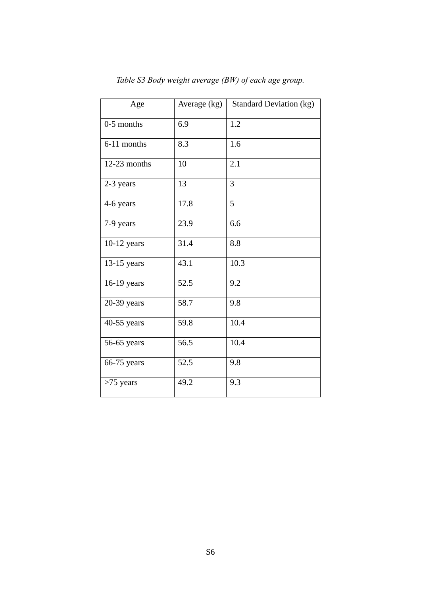| Age            | Average (kg) | <b>Standard Deviation (kg)</b> |
|----------------|--------------|--------------------------------|
| $0-5$ months   | 6.9          | 1.2                            |
| 6-11 months    | 8.3          | 1.6                            |
| $12-23$ months | 10           | 2.1                            |
| 2-3 years      | 13           | 3                              |
| 4-6 years      | 17.8         | 5                              |
| 7-9 years      | 23.9         | 6.6                            |
| $10-12$ years  | 31.4         | 8.8                            |
| 13-15 years    | 43.1         | 10.3                           |
| 16-19 years    | 52.5         | 9.2                            |
| 20-39 years    | 58.7         | 9.8                            |
| 40-55 years    | 59.8         | 10.4                           |
| 56-65 years    | 56.5         | 10.4                           |
| 66-75 years    | 52.5         | 9.8                            |
| $>75$ years    | 49.2         | 9.3                            |

*Table S3 Body weight average (BW) of each age group.*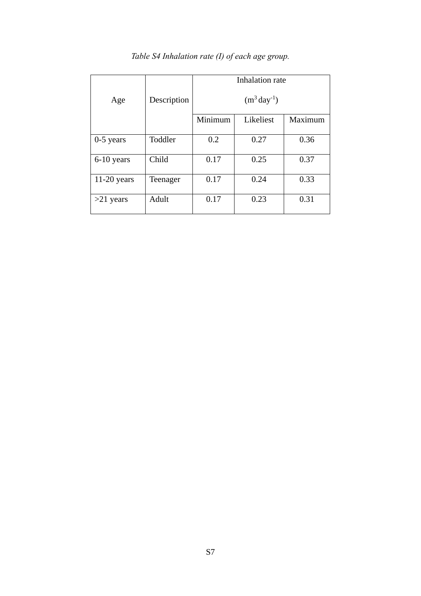|               |             | Inhalation rate            |           |         |  |
|---------------|-------------|----------------------------|-----------|---------|--|
| Age           | Description | $(m^3 \, \text{day}^{-1})$ |           |         |  |
|               |             | Minimum                    | Likeliest | Maximum |  |
| $0-5$ years   | Toddler     | 0.2                        | 0.27      | 0.36    |  |
| 6-10 years    | Child       | 0.17                       | 0.25      | 0.37    |  |
| $11-20$ years | Teenager    | 0.17                       | 0.24      | 0.33    |  |
| $>21$ years   | Adult       | 0.17                       | 0.23      | 0.31    |  |

## *Table S4 Inhalation rate (I) of each age group.*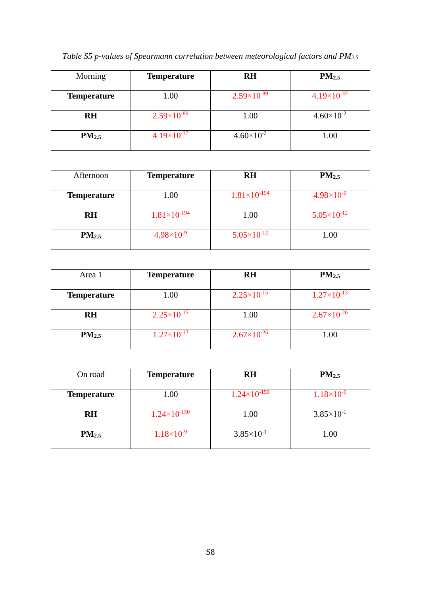|  |  | Table S5 p-values of Spearmann correlation between meteorological factors and PM2.5 |  |  |  |  |  |  |  |
|--|--|-------------------------------------------------------------------------------------|--|--|--|--|--|--|--|
|--|--|-------------------------------------------------------------------------------------|--|--|--|--|--|--|--|

| Morning            | <b>Temperature</b>   | <b>RH</b>            | $PM_{2.5}$           |
|--------------------|----------------------|----------------------|----------------------|
| <b>Temperature</b> | 1.00                 | $2.59\times10^{-89}$ | $4.19\times10^{-37}$ |
| <b>RH</b>          | $2.59\times10^{-89}$ | 1.00                 | $4.60\times10^{-2}$  |
| PM <sub>2.5</sub>  | $4.19\times10^{-37}$ | $4.60\times10^{-2}$  | 1.00                 |

| Afternoon          | <b>Temperature</b>    | <b>RH</b>              | $PM_{2.5}$            |
|--------------------|-----------------------|------------------------|-----------------------|
| <b>Temperature</b> | 1.00                  | $1.81\times10^{-194}$  | $4.98 \times 10^{-9}$ |
| <b>RH</b>          | $1.81\times10^{-194}$ | 1.00                   | $5.05\times10^{-12}$  |
| PM <sub>2.5</sub>  | $4.98 \times 10^{-9}$ | $5.05 \times 10^{-12}$ | 1.00                  |

| Area 1             | <b>Temperature</b>     | <b>RH</b>              | PM <sub>2.5</sub>    |
|--------------------|------------------------|------------------------|----------------------|
| <b>Temperature</b> | 1.00                   | $2.25 \times 10^{-15}$ | $1.27\times10^{-13}$ |
| <b>RH</b>          | $2.25 \times 10^{-15}$ | 1.00                   | $2.67\times10^{-26}$ |
| $PM_{2.5}$         | $1.27\times10^{-13}$   | $2.67\times10^{-26}$   | 1.00                 |

| On road            | <b>Temperature</b>      | <b>RH</b>             | $PM_{2.5}$            |
|--------------------|-------------------------|-----------------------|-----------------------|
| <b>Temperature</b> | 1.00                    | $1.24\times10^{-150}$ | $1.18 \times 10^{-9}$ |
| <b>RH</b>          | $1.24 \times 10^{-150}$ | 1.00                  | $3.85 \times 10^{-1}$ |
| PM <sub>2.5</sub>  | $1.18 \times 10^{-9}$   | $3.85 \times 10^{-1}$ | 1.00                  |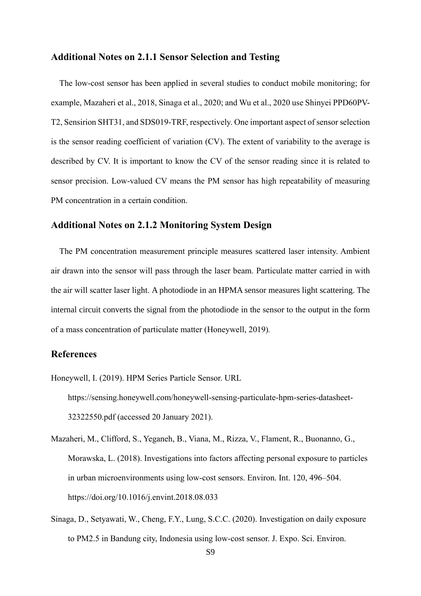#### **Additional Notes on 2.1.1 Sensor Selection and Testing**

The low-cost sensor has been applied in several studies to conduct mobile monitoring; for example, Mazaheri et al., 2018, Sinaga et al., 2020; and Wu et al., 2020 use Shinyei PPD60PV-T2, Sensirion SHT31, and SDS019-TRF, respectively. One important aspect of sensor selection is the sensor reading coefficient of variation (CV). The extent of variability to the average is described by CV. It is important to know the CV of the sensor reading since it is related to sensor precision. Low-valued CV means the PM sensor has high repeatability of measuring PM concentration in a certain condition.

### **Additional Notes on 2.1.2 Monitoring System Design**

The PM concentration measurement principle measures scattered laser intensity. Ambient air drawn into the sensor will pass through the laser beam. Particulate matter carried in with the air will scatter laser light. A photodiode in an HPMA sensor measures light scattering. The internal circuit converts the signal from the photodiode in the sensor to the output in the form of a mass concentration of particulate matter (Honeywell, 2019)*.*

### **References**

Honeywell, I. (2019). HPM Series Particle Sensor. URL

https://sensing.honeywell.com/honeywell-sensing-particulate-hpm-series-datasheet-32322550.pdf (accessed 20 January 2021).

Mazaheri, M., Clifford, S., Yeganeh, B., Viana, M., Rizza, V., Flament, R., Buonanno, G., Morawska, L. (2018). Investigations into factors affecting personal exposure to particles in urban microenvironments using low-cost sensors. Environ. Int. 120, 496–504. https://doi.org/10.1016/j.envint.2018.08.033

Sinaga, D., Setyawati, W., Cheng, F.Y., Lung, S.C.C. (2020). Investigation on daily exposure to PM2.5 in Bandung city, Indonesia using low-cost sensor. J. Expo. Sci. Environ.